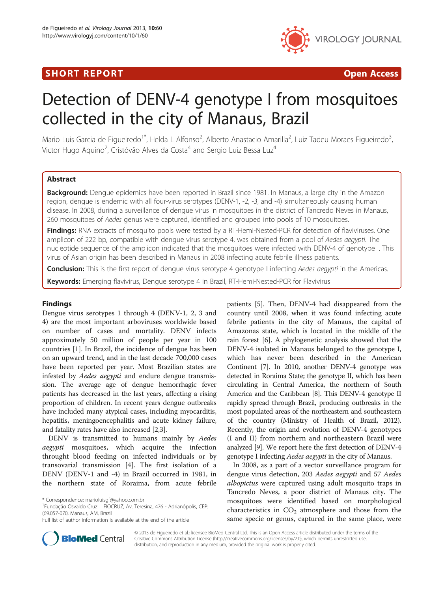# SHORT REPORT **The Contract of the Contract Open Access** (SHORT **Contract of the Contract Open Access**



# Detection of DENV-4 genotype I from mosquitoes collected in the city of Manaus, Brazil

Mario Luis Garcia de Figueiredo<sup>1\*</sup>, Helda L Alfonso<sup>2</sup>, Alberto Anastacio Amarilla<sup>2</sup>, Luiz Tadeu Moraes Figueiredo<sup>3</sup> , Victor Hugo Aquino<sup>2</sup>, Cristóvão Alves da Costa<sup>4</sup> and Sergio Luiz Bessa Luz<sup>4</sup>

# Abstract

Background: Dengue epidemics have been reported in Brazil since 1981. In Manaus, a large city in the Amazon region, dengue is endemic with all four-virus serotypes (DENV-1, -2, -3, and -4) simultaneously causing human disease. In 2008, during a surveillance of dengue virus in mosquitoes in the district of Tancredo Neves in Manaus, 260 mosquitoes of Aedes genus were captured, identified and grouped into pools of 10 mosquitoes.

Findings: RNA extracts of mosquito pools were tested by a RT-Hemi-Nested-PCR for detection of flaviviruses. One amplicon of 222 bp, compatible with dengue virus serotype 4, was obtained from a pool of Aedes aegypti. The nucleotide sequence of the amplicon indicated that the mosquitoes were infected with DENV-4 of genotype I. This virus of Asian origin has been described in Manaus in 2008 infecting acute febrile illness patients.

Conclusion: This is the first report of dengue virus serotype 4 genotype I infecting Aedes aegypti in the Americas.

Keywords: Emerging flavivirus, Dengue serotype 4 in Brazil, RT-Hemi-Nested-PCR for Flavivirus

# **Findings**

Dengue virus serotypes 1 through 4 (DENV-1, 2, 3 and 4) are the most important arboviruses worldwide based on number of cases and mortality. DENV infects approximately 50 million of people per year in 100 countries [[1\]](#page-3-0). In Brazil, the incidence of dengue has been on an upward trend, and in the last decade 700,000 cases have been reported per year. Most Brazilian states are infested by Aedes aegypti and endure dengue transmission. The average age of dengue hemorrhagic fever patients has decreased in the last years, affecting a rising proportion of children. In recent years dengue outbreaks have included many atypical cases, including myocarditis, hepatitis, meningoencephalitis and acute kidney failure, and fatality rates have also increased [\[2,3](#page-3-0)].

DENV is transmitted to humans mainly by Aedes aegypti mosquitoes, which acquire the infection throught blood feeding on infected individuals or by transovarial transmission [\[4](#page-3-0)]. The first isolation of a DENV (DENV-1 and -4) in Brazil occurred in 1981, in the northern state of Roraima, from acute febrile

Fundação Osvaldo Cruz – FIOCRUZ, Av. Teresina, 476 - Adrianópolis, CEP: (69.057-070, Manaus, AM, Brazil

patients [[5\]](#page-3-0). Then, DENV-4 had disappeared from the country until 2008, when it was found infecting acute febrile patients in the city of Manaus, the capital of Amazonas state, which is located in the middle of the rain forest [[6\]](#page-3-0). A phylogenetic analysis showed that the DENV-4 isolated in Manaus belonged to the genotype I, which has never been described in the American Continent [[7](#page-3-0)]. In 2010, another DENV-4 genotype was detected in Roraima State; the genotype II, which has been circulating in Central America, the northern of South America and the Caribbean [[8\]](#page-3-0). This DENV-4 genotype II rapidly spread through Brazil, producing outbreaks in the most populated areas of the northeastern and southeastern of the country (Ministry of Health of Brazil, 2012). Recently, the origin and evolution of DENV-4 genotypes (I and II) from northern and northeastern Brazil were analyzed [\[9\]](#page-3-0). We report here the first detection of DENV-4 genotype I infecting Aedes aegypti in the city of Manaus.

In 2008, as a part of a vector surveillance program for dengue virus detection, 203 Aedes aegypti and 57 Aedes albopictus were captured using adult mosquito traps in Tancredo Neves, a poor district of Manaus city. The mosquitoes were identified based on morphological characteristics in  $CO<sub>2</sub>$  atmosphere and those from the same specie or genus, captured in the same place, were



© 2013 de Figueiredo et al.; licensee BioMed Central Ltd. This is an Open Access article distributed under the terms of the Creative Commons Attribution License (<http://creativecommons.org/licenses/by/2.0>), which permits unrestricted use, distribution, and reproduction in any medium, provided the original work is properly cited.

<sup>\*</sup> Correspondence: [marioluisgf@yahoo.com.br](mailto:marioluisgf@yahoo.com.br) <sup>1</sup>

Full list of author information is available at the end of the article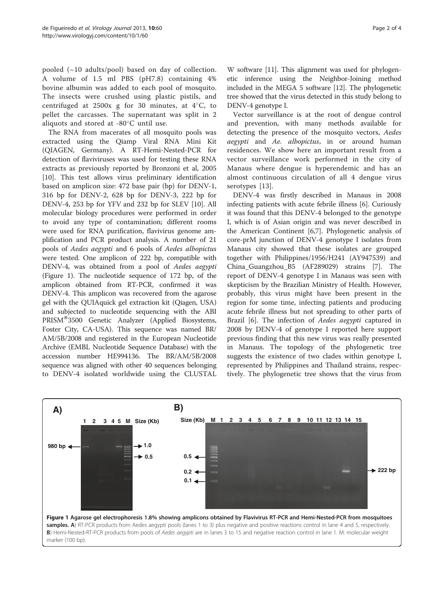pooled  $(\sim 10$  adults/pool) based on day of collection. A volume of 1.5 ml PBS (pH7.8) containing 4% bovine albumin was added to each pool of mosquito. The insects were crushed using plastic pistils, and centrifuged at  $2500x$  g for 30 minutes, at  $4^{\circ}C$ , to pellet the carcasses. The supernatant was split in 2 aliquots and stored at  $-80^{\circ}$ C until use.

The RNA from macerates of all mosquito pools was extracted using the Qiamp Viral RNA Mini Kit (QIAGEN, Germany). A RT-Hemi-Nested-PCR for detection of flaviviruses was used for testing these RNA extracts as previously reported by Bronzoni et al, 2005 [[10\]](#page-3-0). This test allows virus preliminary identification based on amplicon size: 472 base pair (bp) for DENV-1, 316 bp for DENV-2, 628 bp for DENV-3, 222 bp for DENV-4, 253 bp for YFV and 232 bp for SLEV [[10\]](#page-3-0). All molecular biology procedures were performed in order to avoid any type of contamination; different rooms were used for RNA purification, flavivirus genome amplification and PCR product analysis. A number of 21 pools of Aedes aegypti and 6 pools of Aedes albopictus were tested. One amplicon of 222 bp, compatible with DENV-4, was obtained from a pool of Aedes aegypti (Figure 1). The nucleotide sequence of 172 bp, of the amplicon obtained from RT-PCR, confirmed it was DENV-4. This amplicon was recovered from the agarose gel with the QUIAquick gel extraction kit (Qiagen, USA) and subjected to nucleotide sequencing with the ABI PRISM<sup>®</sup>3500 Genetic Analyzer (Applied Biosystems, Foster City, CA-USA). This sequence was named BR/ AM/5B/2008 and registered in the European Nucleotide Archive (EMBL Nucleotide Sequence Database) with the accession number HE994136. The BR/AM/5B/2008 sequence was aligned with other 40 sequences belonging to DENV-4 isolated worldwide using the CLUSTAL

W software [[11](#page-3-0)]. This alignment was used for phylogenetic inference using the Neighbor-Joining method included in the MEGA 5 software [\[12\]](#page-3-0). The phylogenetic tree showed that the virus detected in this study belong to DENV-4 genotype I.

Vector surveillance is at the root of dengue control and prevention, with many methods available for detecting the presence of the mosquito vectors, Aedes aegypti and Ae. albopictus, in or around human residences. We show here an important result from a vector surveillance work performed in the city of Manaus where dengue is hyperendemic and has an almost continuous circulation of all 4 dengue virus serotypes [\[13](#page-3-0)].

DENV-4 was firstly described in Manaus in 2008 infecting patients with acute febrile illness [[6\]](#page-3-0). Curiously it was found that this DENV-4 belonged to the genotype I, which is of Asian origin and was never described in the American Continent [\[6,7](#page-3-0)]. Phylogenetic analysis of core-prM junction of DENV-4 genotype I isolates from Manaus city showed that these isolates are grouped together with Philippines/1956/H241 (AY947539) and China\_Guangzhou\_B5 (AF289029) strains [[7\]](#page-3-0). The report of DENV-4 genotype I in Manaus was seen with skepticism by the Brazilian Ministry of Health. However, probably, this virus might have been present in the region for some time, infecting patients and producing acute febrile illness but not spreading to other parts of Brazil [\[6](#page-3-0)]. The infection of Aedes aegypti captured in 2008 by DENV-4 of genotype I reported here support previous finding that this new virus was really presented in Manaus. The topology of the phylogenetic tree suggests the existence of two clades within genotype I, represented by Philippines and Thailand strains, respectively. The phylogenetic tree shows that the virus from

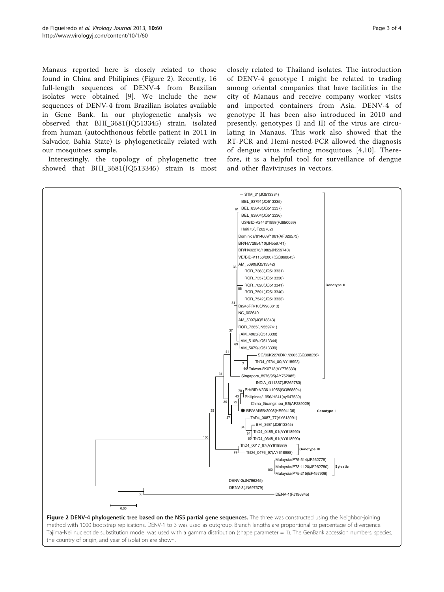Manaus reported here is closely related to those found in China and Philipines (Figure 2). Recently, 16 full-length sequences of DENV-4 from Brazilian isolates were obtained [\[9](#page-3-0)]. We include the new sequences of DENV-4 from Brazilian isolates available in Gene Bank. In our phylogenetic analysis we observed that BHI\_3681(JQ513345) strain, isolated from human (autochthonous febrile patient in 2011 in Salvador, Bahia State) is phylogenetically related with our mosquitoes sample.

Interestingly, the topology of phylogenetic tree showed that BHI\_3681(JQ513345) strain is most

closely related to Thailand isolates. The introduction of DENV-4 genotype I might be related to trading among oriental companies that have facilities in the city of Manaus and receive company worker visits and imported containers from Asia. DENV-4 of genotype II has been also introduced in 2010 and presently, genotypes (I and II) of the virus are circulating in Manaus. This work also showed that the RT-PCR and Hemi-nested-PCR allowed the diagnosis of dengue virus infecting mosquitoes [[4,10\]](#page-3-0). Therefore, it is a helpful tool for surveillance of dengue and other flaviviruses in vectors.



Figure 2 DENV-4 phylogenetic tree based on the NS5 partial gene sequences. The three was constructed using the Neighbor-joining method with 1000 bootstrap replications. DENV-1 to 3 was used as outgroup. Branch lengths are proportional to percentage of divergence. Tajima-Nei nucleotide substitution model was used with a gamma distribution (shape parameter = 1). The GenBank accession numbers, species, the country of origin, and year of isolation are shown.